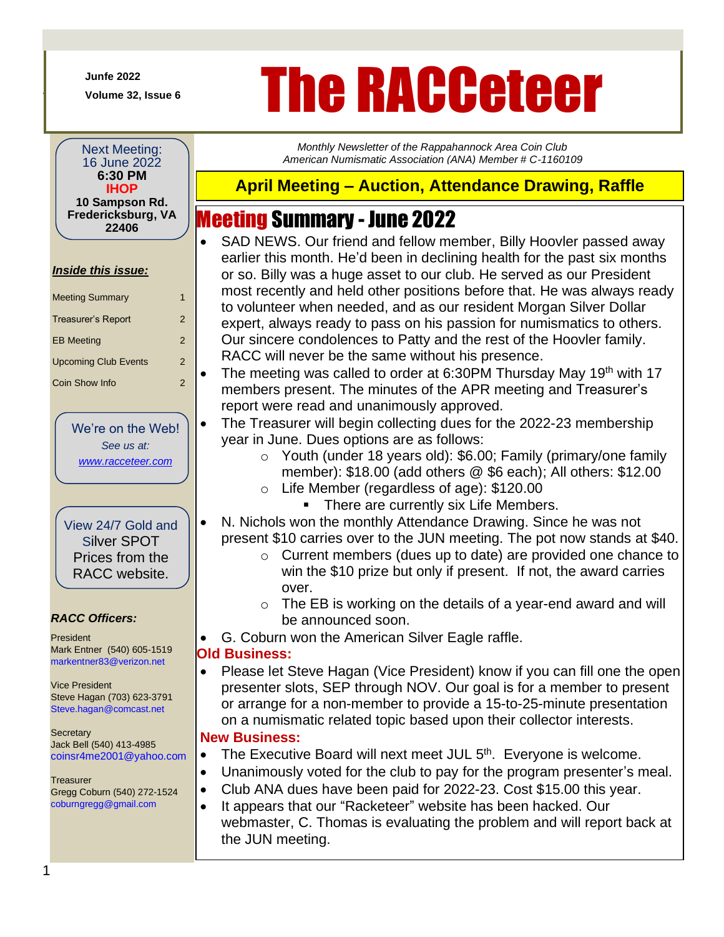**Junfe 2022**

+

# *Volume 32, Issue* **6</sub> The RACCeteer**

*Monthly Newsletter of the Rappahannock Area Coin Club American Numismatic Association (ANA) Member # C-1160109*

Next Meeting: 16 June 2022 **6:30 PM IHOP 10 Sampson Rd. Fredericksburg, VA 22406**

#### *Inside this issue:*

| <b>Meeting Summary</b>      | 1             |
|-----------------------------|---------------|
| Treasurer's Report          | 2             |
| <b>EB Meeting</b>           | $\mathcal{P}$ |
| <b>Upcoming Club Events</b> | 2             |
| Coin Show Info              | 2             |

We're on the Web! *See us at: [www.racceteer.com](http://www.racceteer.com/)*

View 24/7 Gold and Silver SPOT Prices from the RACC website.

#### *RACC Officers:*

President Mark Entner (540) 605-1519 markentner83@verizon.net

Vice President Steve Hagan (703) 623-3791 Steve.hagan@comcast.net

**Secretary** Jack Bell (540) 413-4985 coinsr4me2001@yahoo.com

**Treasurer** Gregg Coburn (540) 272-1524 coburngregg@gmail.com

## **April Meeting – Auction, Attendance Drawing, Raffle**

## Meeting Summary - June 2022

- SAD NEWS. Our friend and fellow member, Billy Hoovler passed away earlier this month. He'd been in declining health for the past six months or so. Billy was a huge asset to our club. He served as our President most recently and held other positions before that. He was always ready to volunteer when needed, and as our resident Morgan Silver Dollar expert, always ready to pass on his passion for numismatics to others. Our sincere condolences to Patty and the rest of the Hoovler family. RACC will never be the same without his presence.
- The meeting was called to order at 6:30PM Thursday May 19<sup>th</sup> with 17 members present. The minutes of the APR meeting and Treasurer's report were read and unanimously approved.
- The Treasurer will begin collecting dues for the 2022-23 membership year in June. Dues options are as follows:
	- o Youth (under 18 years old): \$6.00; Family (primary/one family member): \$18.00 (add others @ \$6 each); All others: \$12.00 o Life Member (regardless of age): \$120.00
		- There are currently six Life Members.
- N. Nichols won the monthly Attendance Drawing. Since he was not present \$10 carries over to the JUN meeting. The pot now stands at \$40.
	- o Current members (dues up to date) are provided one chance to win the \$10 prize but only if present. If not, the award carries over.
	- $\circ$  The EB is working on the details of a year-end award and will be announced soon.
- G. Coburn won the American Silver Eagle raffle.

#### **Old Business:**

• Please let Steve Hagan (Vice President) know if you can fill one the open presenter slots, SEP through NOV. Our goal is for a member to present or arrange for a non-member to provide a 15-to-25-minute presentation on a numismatic related topic based upon their collector interests.

#### • **New Business:**

- The Executive Board will next meet JUL  $5<sup>th</sup>$ . Everyone is welcome.
- Unanimously voted for the club to pay for the program presenter's meal.
- Club ANA dues have been paid for 2022-23. Cost \$15.00 this year.
- It appears that our "Racketeer" website has been hacked. Our webmaster, C. Thomas is evaluating the problem and will report back at the JUN meeting.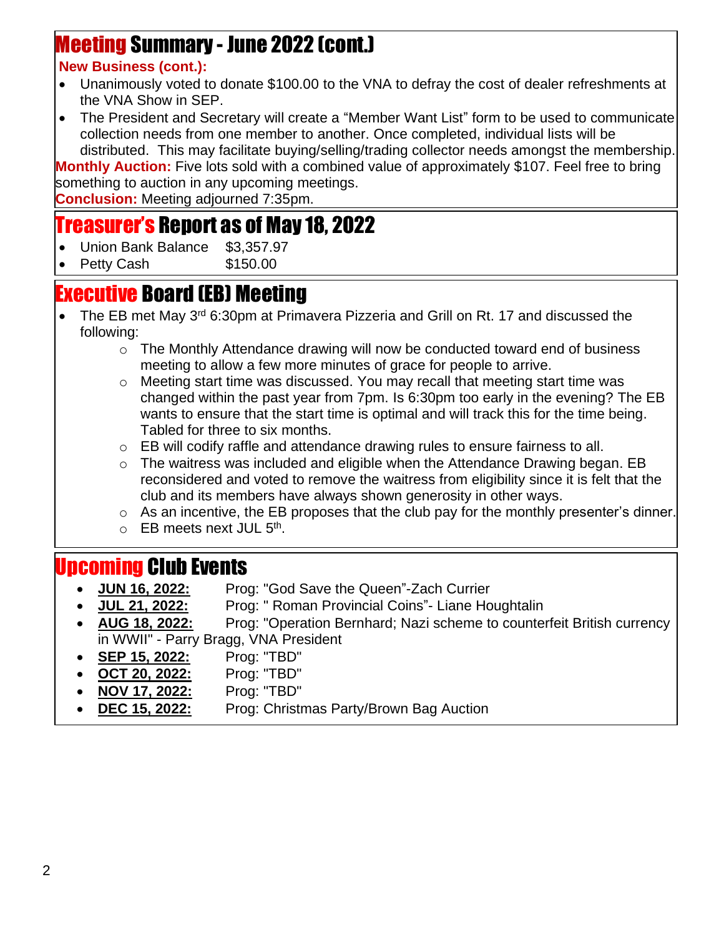# Meeting Summary - June 2022 (cont.)

### • **New Business (cont.):**

- Unanimously voted to donate \$100.00 to the VNA to defray the cost of dealer refreshments at the VNA Show in SEP.
- The President and Secretary will create a "Member Want List" form to be used to communicate collection needs from one member to another. Once completed, individual lists will be distributed. This may facilitate buying/selling/trading collector needs amongst the membership.

**Monthly Auction:** Five lots sold with a combined value of approximately \$107. Feel free to bring something to auction in any upcoming meetings.

**Conclusion:** Meeting adjourned 7:35pm.

## Treasurer's Report as of May 18, 2022

- Union Bank Balance \$3,357.97
- Petty Cash \$150.00

## Executive Board (EB) Meeting

- j • The EB met May 3<sup>rd</sup> 6:30pm at Primavera Pizzeria and Grill on Rt. 17 and discussed the following:
	- $\circ$  The Monthly Attendance drawing will now be conducted toward end of business meeting to allow a few more minutes of grace for people to arrive.
	- $\circ$  Meeting start time was discussed. You may recall that meeting start time was changed within the past year from 7pm. Is 6:30pm too early in the evening? The EB wants to ensure that the start time is optimal and will track this for the time being. Tabled for three to six months.
	- $\circ$  EB will codify raffle and attendance drawing rules to ensure fairness to all.
	- $\circ$  The waitress was included and eligible when the Attendance Drawing began. EB reconsidered and voted to remove the waitress from eligibility since it is felt that the club and its members have always shown generosity in other ways.
	- $\circ$  As an incentive, the EB proposes that the club pay for the monthly presenter's dinner.
	- o EB meets next JUL 5<sup>th</sup>.

## Upcoming Club Events

- **JUN 16, 2022:** Prog: "God Save the Queen"-Zach Currier
- **JUL 21, 2022:** Prog: " Roman Provincial Coins"- Liane Houghtalin
- **AUG 18, 2022:** Prog: "Operation Bernhard; Nazi scheme to counterfeit British currency in WWII" - Parry Bragg, VNA President
- **SEP 15, 2022:** Prog: "TBD"
	- **OCT 20, 2022:** Prog: "TBD"
- **NOV 17, 2022:** Prog: "TBD"
- **DEC 15, 2022:** Prog: Christmas Party/Brown Bag Auction